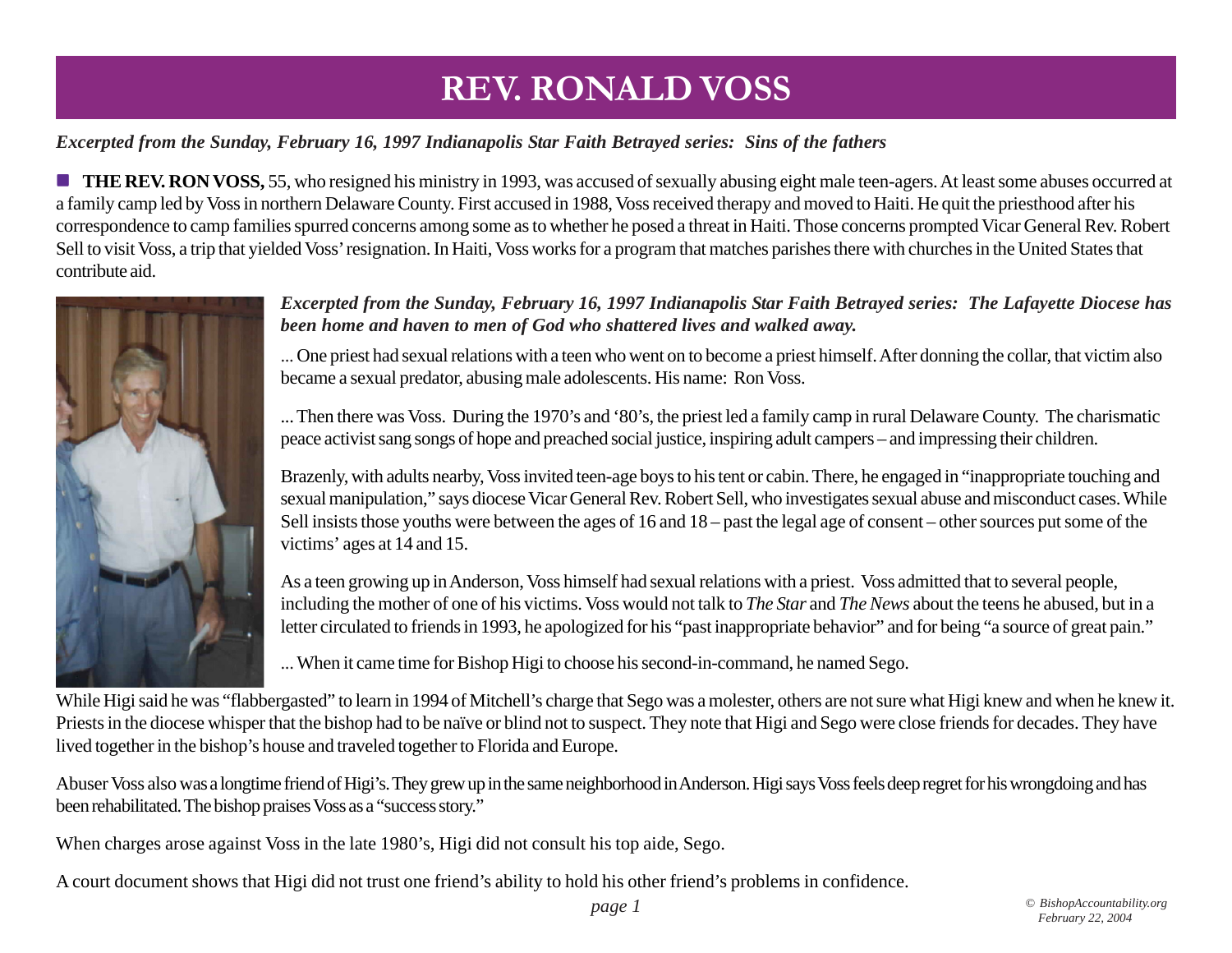### *Excerpted from the Sunday, February 16, 1997 Indianapolis Star Faith Betrayed series: Sins of the fathers*

**THE REV. RON VOSS,** 55, who resigned his ministry in 1993, was accused of sexually abusing eight male teen-agers. At least some abuses occurred at a family camp led by Voss in northern Delaware County. First accused in 1988, Voss received therapy and moved to Haiti. He quit the priesthood after his correspondence to camp families spurred concerns among some as to whether he posed a threat in Haiti. Those concerns prompted Vicar General Rev. Robert Sell to visit Voss, a trip that yielded Voss' resignation. In Haiti, Voss works for a program that matches parishes there with churches in the United States that contribute aid.



#### *Excerpted from the Sunday, February 16, 1997 Indianapolis Star Faith Betrayed series: The Lafayette Diocese has been home and haven to men of God who shattered lives and walked away.*

... One priest had sexual relations with a teen who went on to become a priest himself. After donning the collar, that victim also became a sexual predator, abusing male adolescents. His name: Ron Voss.

... Then there was Voss. During the 1970's and '80's, the priest led a family camp in rural Delaware County. The charismatic peace activist sang songs of hope and preached social justice, inspiring adult campers – and impressing their children.

Brazenly, with adults nearby, Voss invited teen-age boys to his tent or cabin. There, he engaged in "inappropriate touching and sexual manipulation," says diocese Vicar General Rev. Robert Sell, who investigates sexual abuse and misconduct cases. While Sell insists those youths were between the ages of 16 and 18 – past the legal age of consent – other sources put some of the victims' ages at 14 and 15.

As a teen growing up in Anderson, Voss himself had sexual relations with a priest. Voss admitted that to several people, including the mother of one of his victims. Voss would not talk to *The Star* and *The News* about the teens he abused, but in a letter circulated to friends in 1993, he apologized for his "past inappropriate behavior" and for being "a source of great pain."

... When it came time for Bishop Higi to choose his second-in-command, he named Sego.

While Higi said he was "flabbergasted" to learn in 1994 of Mitchell's charge that Sego was a molester, others are not sure what Higi knew and when he knew it. Priests in the diocese whisper that the bishop had to be naïve or blind not to suspect. They note that Higi and Sego were close friends for decades. They have lived together in the bishop's house and traveled together to Florida and Europe.

Abuser Voss also was a longtime friend of Higi's. They grew up in the same neighborhood in Anderson. Higi says Voss feels deep regret for his wrongdoing and has been rehabilitated. The bishop praises Voss as a "success story."

When charges arose against Voss in the late 1980's, Higi did not consult his top aide, Sego.

A court document shows that Higi did not trust one friend's ability to hold his other friend's problems in confidence.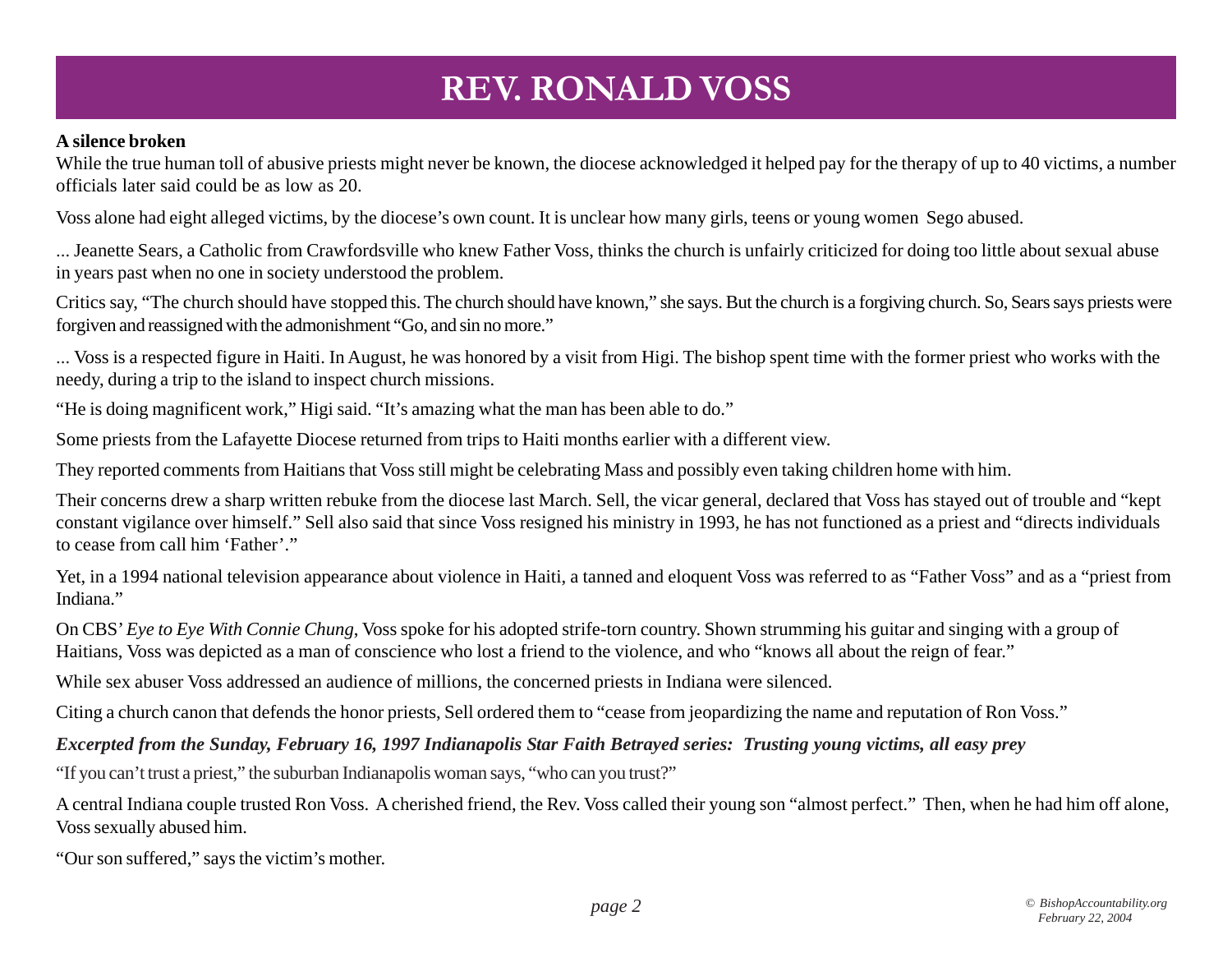#### **A silence broken**

While the true human toll of abusive priests might never be known, the diocese acknowledged it helped pay for the therapy of up to 40 victims, a number officials later said could be as low as 20.

Voss alone had eight alleged victims, by the diocese's own count. It is unclear how many girls, teens or young women Sego abused.

... Jeanette Sears, a Catholic from Crawfordsville who knew Father Voss, thinks the church is unfairly criticized for doing too little about sexual abuse in years past when no one in society understood the problem.

Critics say, "The church should have stopped this. The church should have known," she says. But the church is a forgiving church. So, Sears says priests were forgiven and reassigned with the admonishment "Go, and sin no more."

... Voss is a respected figure in Haiti. In August, he was honored by a visit from Higi. The bishop spent time with the former priest who works with the needy, during a trip to the island to inspect church missions.

"He is doing magnificent work," Higi said. "It's amazing what the man has been able to do."

Some priests from the Lafayette Diocese returned from trips to Haiti months earlier with a different view.

They reported comments from Haitians that Voss still might be celebrating Mass and possibly even taking children home with him.

Their concerns drew a sharp written rebuke from the diocese last March. Sell, the vicar general, declared that Voss has stayed out of trouble and "kept constant vigilance over himself." Sell also said that since Voss resigned his ministry in 1993, he has not functioned as a priest and "directs individuals to cease from call him 'Father'."

Yet, in a 1994 national television appearance about violence in Haiti, a tanned and eloquent Voss was referred to as "Father Voss" and as a "priest from Indiana."

On CBS' *Eye to Eye With Connie Chung*, Voss spoke for his adopted strife-torn country. Shown strumming his guitar and singing with a group of Haitians, Voss was depicted as a man of conscience who lost a friend to the violence, and who "knows all about the reign of fear."

While sex abuser Voss addressed an audience of millions, the concerned priests in Indiana were silenced.

Citing a church canon that defends the honor priests, Sell ordered them to "cease from jeopardizing the name and reputation of Ron Voss."

*Excerpted from the Sunday, February 16, 1997 Indianapolis Star Faith Betrayed series: Trusting young victims, all easy prey*

"If you can't trust a priest," the suburban Indianapolis woman says, "who can you trust?"

A central Indiana couple trusted Ron Voss. A cherished friend, the Rev. Voss called their young son "almost perfect." Then, when he had him off alone, Voss sexually abused him.

"Our son suffered," says the victim's mother.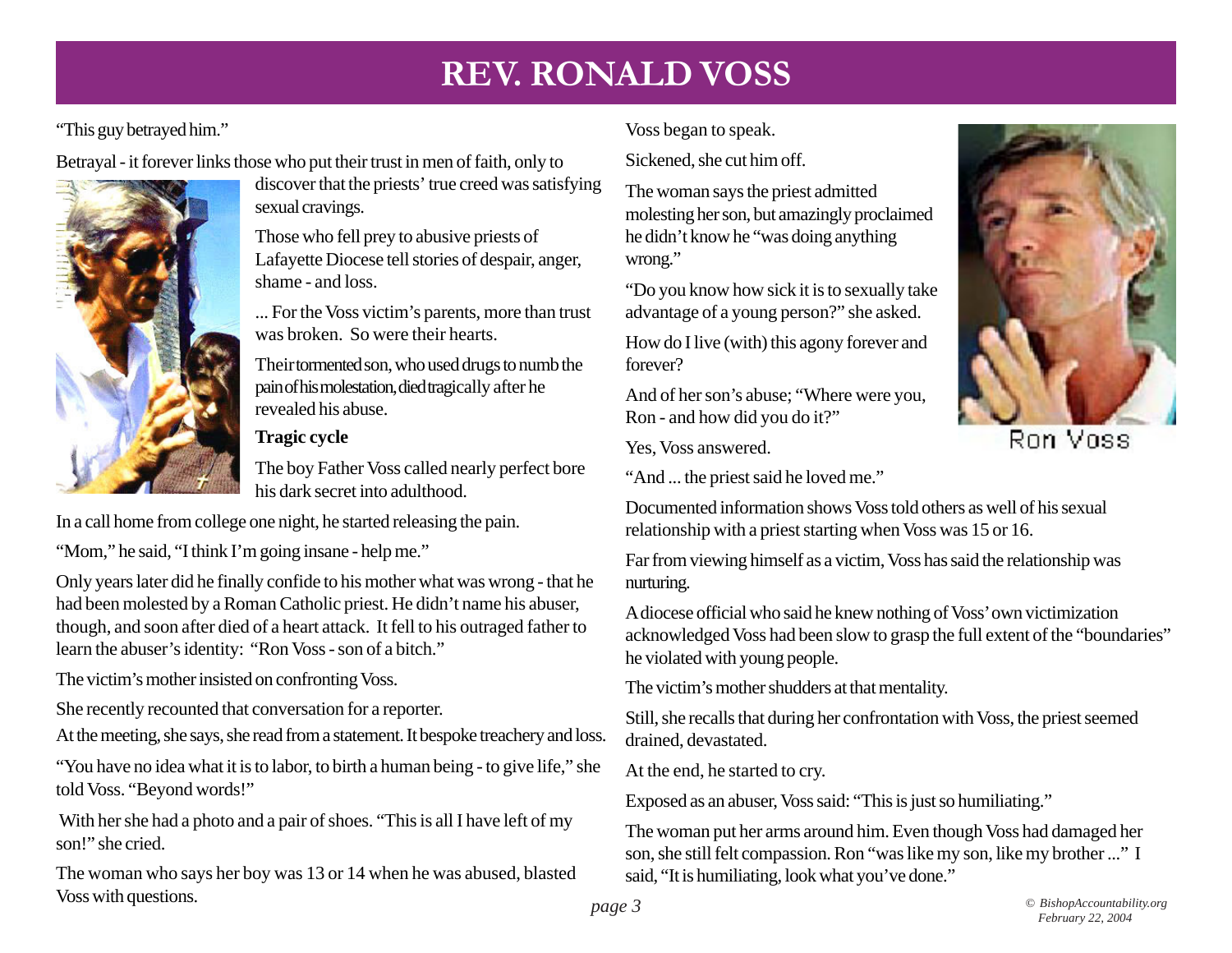#### "This guy betrayed him."

Betrayal - it forever links those who put their trust in men of faith, only to



discover that the priests' true creed was satisfying sexual cravings.

Those who fell prey to abusive priests of Lafayette Diocese tell stories of despair, anger, shame - and loss.

... For the Voss victim's parents, more than trust was broken. So were their hearts.

Their tormented son, who used drugs to numb the pain of his molestation, died tragically after he revealed his abuse.

#### **Tragic cycle**

The boy Father Voss called nearly perfect bore his dark secret into adulthood.

In a call home from college one night, he started releasing the pain.

"Mom," he said, "I think I'm going insane - help me."

Only years later did he finally confide to his mother what was wrong - that he had been molested by a Roman Catholic priest. He didn't name his abuser, though, and soon after died of a heart attack. It fell to his outraged father to learn the abuser's identity: "Ron Voss - son of a bitch."

The victim's mother insisted on confronting Voss.

She recently recounted that conversation for a reporter.

At the meeting, she says, she read from a statement. It bespoke treachery and loss.

"You have no idea what it is to labor, to birth a human being - to give life," she told Voss. "Beyond words!"

 With her she had a photo and a pair of shoes. "This is all I have left of my son!" she cried.

The woman who says her boy was 13 or 14 when he was abused, blasted Voss with questions. *page 3 © BishopAccountability.org*

Voss began to speak.

Sickened, she cut him off.

The woman says the priest admitted molesting her son, but amazingly proclaimed he didn't know he "was doing anything wrong."

"Do you know how sick it is to sexually take advantage of a young person?" she asked.

How do I live (with) this agony forever and forever?

And of her son's abuse; "Where were you, Ron - and how did you do it?"

Yes, Voss answered.

"And ... the priest said he loved me."



Ron Voss

Documented information shows Voss told others as well of his sexual relationship with a priest starting when Voss was 15 or 16.

Far from viewing himself as a victim, Voss has said the relationship was nurturing.

A diocese official who said he knew nothing of Voss' own victimization acknowledged Voss had been slow to grasp the full extent of the "boundaries" he violated with young people.

The victim's mother shudders at that mentality.

Still, she recalls that during her confrontation with Voss, the priest seemed drained, devastated.

At the end, he started to cry.

Exposed as an abuser, Voss said: "This is just so humiliating."

The woman put her arms around him. Even though Voss had damaged her son, she still felt compassion. Ron "was like my son, like my brother ..." I said, "It is humiliating, look what you've done."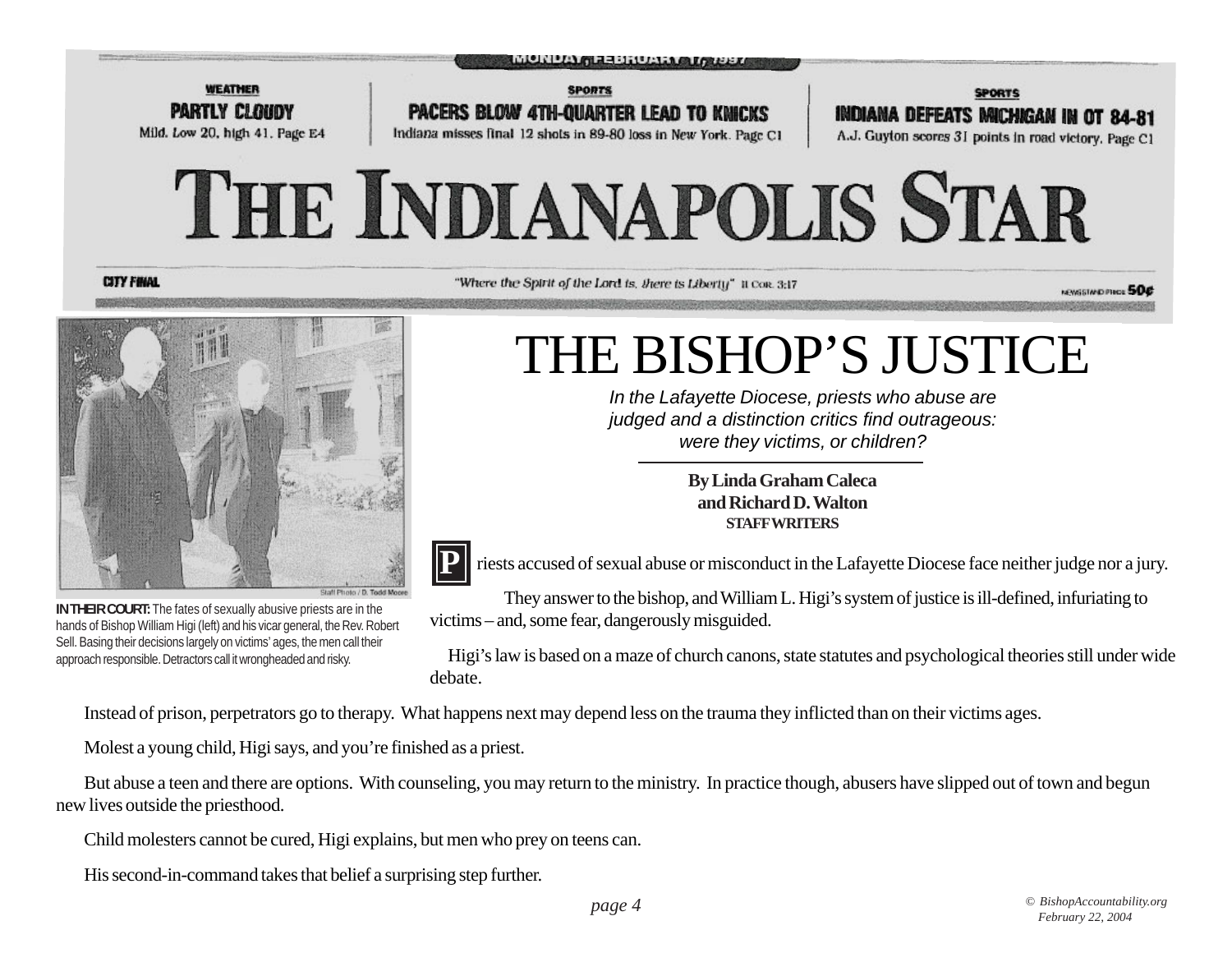

**CITY FINAL** 

"Where the Spirit of the Lord is, there is Liberty" it Con. 3:17

NEWSSTAND PIRCE 50¢



**IN THEIR COURT:** The fates of sexually abusive priests are in the hands of Bishop William Higi (left) and his vicar general, the Rev. Robert Sell. Basing their decisions largely on victims' ages, the men call their approach responsible. Detractors call it wrongheaded and risky.

# THE BISHOP'S JUSTICE

*In the Lafayette Diocese, priests who abuse are judged and a distinction critics find outrageous: were they victims, or children?*

> **By Linda Graham Caleca and Richard D. Walton STAFF WRITERS**



riests accused of sexual abuse or misconduct in the Lafayette Diocese face neither judge nor a jury.

They answer to the bishop, and William L. Higi's system of justice is ill-defined, infuriating to victims – and, some fear, dangerously misguided.

Higi's law is based on a maze of church canons, state statutes and psychological theories still under wide debate.

Instead of prison, perpetrators go to therapy. What happens next may depend less on the trauma they inflicted than on their victims ages.

Molest a young child, Higi says, and you're finished as a priest.

But abuse a teen and there are options. With counseling, you may return to the ministry. In practice though, abusers have slipped out of town and begun new lives outside the priesthood.

Child molesters cannot be cured, Higi explains, but men who prey on teens can.

His second-in-command takes that belief a surprising step further.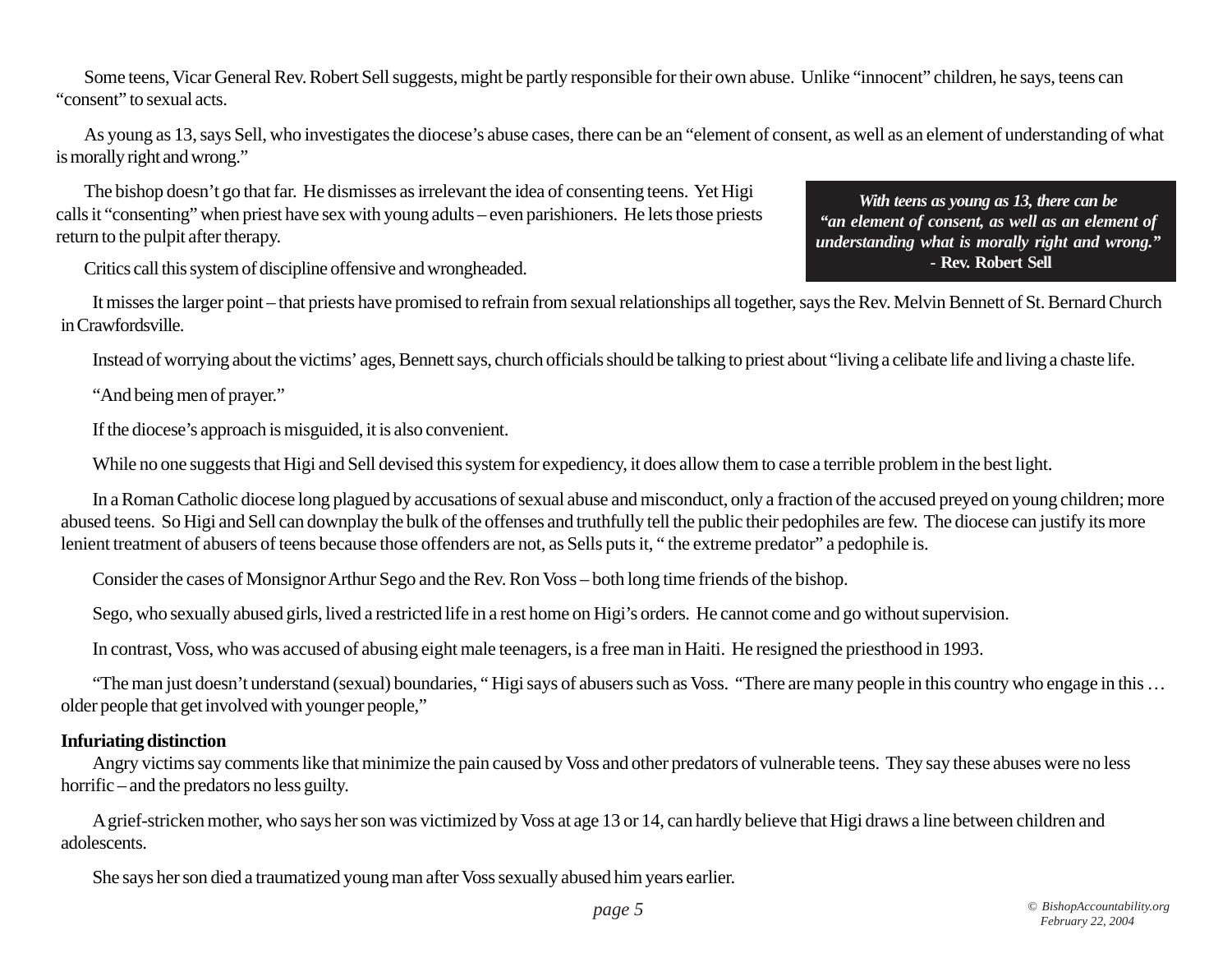Some teens, Vicar General Rev. Robert Sell suggests, might be partly responsible for their own abuse. Unlike "innocent" children, he says, teens can "consent" to sexual acts.

As young as 13, says Sell, who investigates the diocese's abuse cases, there can be an "element of consent, as well as an element of understanding of what is morally right and wrong."

The bishop doesn't go that far. He dismisses as irrelevant the idea of consenting teens. Yet Higi calls it "consenting" when priest have sex with young adults – even parishioners. He lets those priests return to the pulpit after therapy.

Critics call this system of discipline offensive and wrongheaded.

It misses the larger point – that priests have promised to refrain from sexual relationships all together, says the Rev. Melvin Bennett of St. Bernard Church in Crawfordsville.

Instead of worrying about the victims' ages, Bennett says, church officials should be talking to priest about "living a celibate life and living a chaste life.

"And being men of prayer."

If the diocese's approach is misguided, it is also convenient.

While no one suggests that Higi and Sell devised this system for expediency, it does allow them to case a terrible problem in the best light.

In a Roman Catholic diocese long plagued by accusations of sexual abuse and misconduct, only a fraction of the accused preyed on young children; more abused teens. So Higi and Sell can downplay the bulk of the offenses and truthfully tell the public their pedophiles are few. The diocese can justify its more lenient treatment of abusers of teens because those offenders are not, as Sells puts it, " the extreme predator" a pedophile is.

Consider the cases of Monsignor Arthur Sego and the Rev. Ron Voss – both long time friends of the bishop.

Sego, who sexually abused girls, lived a restricted life in a rest home on Higi's orders. He cannot come and go without supervision.

In contrast, Voss, who was accused of abusing eight male teenagers, is a free man in Haiti. He resigned the priesthood in 1993.

"The man just doesn't understand (sexual) boundaries, " Higi says of abusers such as Voss. "There are many people in this country who engage in this … older people that get involved with younger people,"

#### **Infuriating distinction**

Angry victims say comments like that minimize the pain caused by Voss and other predators of vulnerable teens. They say these abuses were no less horrific – and the predators no less guilty.

A grief-stricken mother, who says her son was victimized by Voss at age 13 or 14, can hardly believe that Higi draws a line between children and adolescents.

She says her son died a traumatized young man after Voss sexually abused him years earlier.

*With teens as young as 13, there can be "an element of consent, as well as an element of understanding what is morally right and wrong."*  **- Rev. Robert Sell**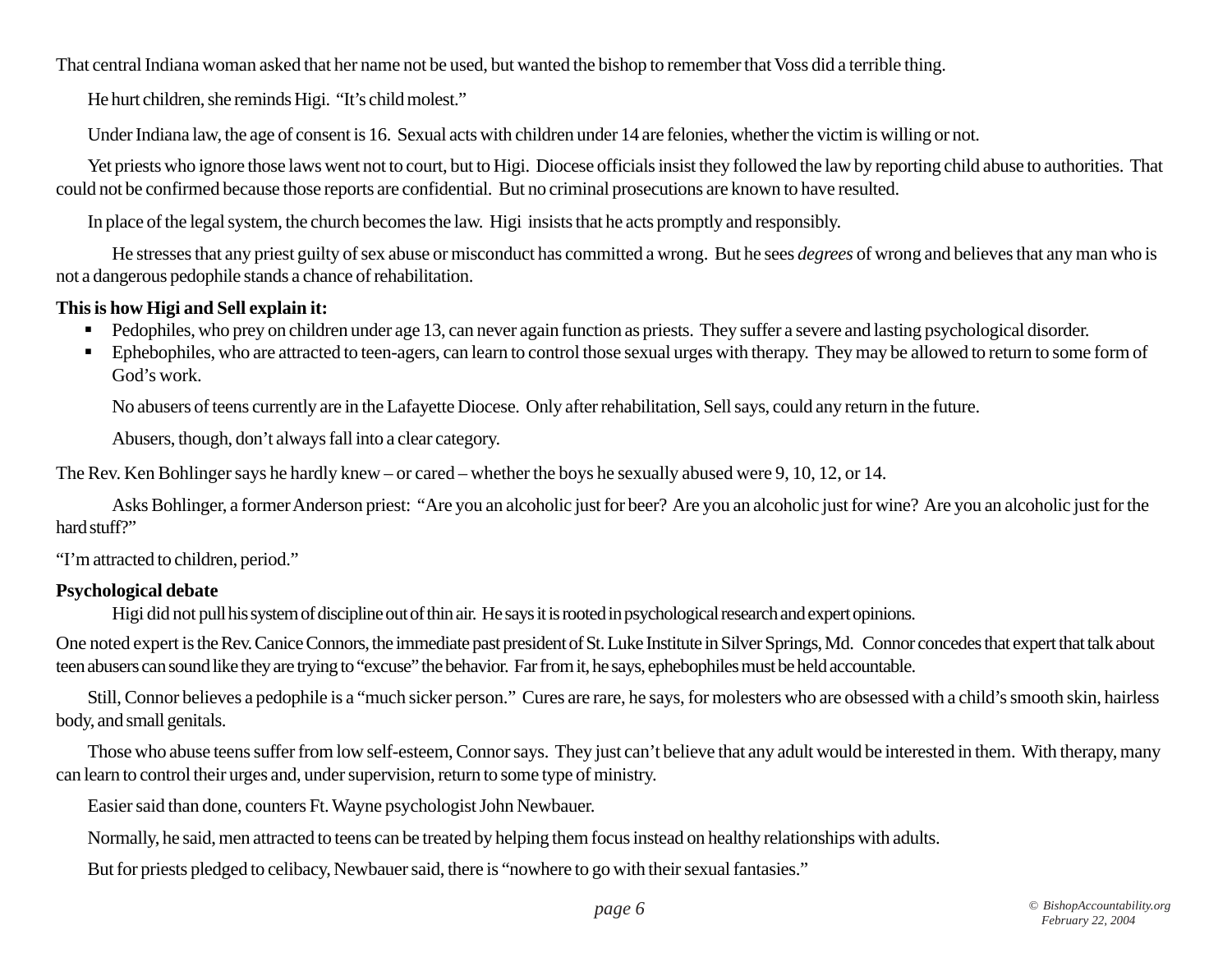That central Indiana woman asked that her name not be used, but wanted the bishop to remember that Voss did a terrible thing.

He hurt children, she reminds Higi. "It's child molest."

Under Indiana law, the age of consent is 16. Sexual acts with children under 14 are felonies, whether the victim is willing or not.

Yet priests who ignore those laws went not to court, but to Higi. Diocese officials insist they followed the law by reporting child abuse to authorities. That could not be confirmed because those reports are confidential. But no criminal prosecutions are known to have resulted.

In place of the legal system, the church becomes the law. Higi insists that he acts promptly and responsibly.

He stresses that any priest guilty of sex abuse or misconduct has committed a wrong. But he sees *degrees* of wrong and believes that any man who is not a dangerous pedophile stands a chance of rehabilitation.

#### **This is how Higi and Sell explain it:**

- Pedophiles, who prey on children under age 13, can never again function as priests. They suffer a severe and lasting psychological disorder.
- **Ephebophiles, who are attracted to teen-agers, can learn to control those sexual urges with therapy. They may be allowed to return to some form of** God's work.

No abusers of teens currently are in the Lafayette Diocese. Only after rehabilitation, Sell says, could any return in the future.

Abusers, though, don't always fall into a clear category.

The Rev. Ken Bohlinger says he hardly knew – or cared – whether the boys he sexually abused were 9, 10, 12, or 14.

Asks Bohlinger, a former Anderson priest: "Are you an alcoholic just for beer? Are you an alcoholic just for wine? Are you an alcoholic just for the hard stuff?"

"I'm attracted to children, period."

#### **Psychological debate**

Higi did not pull his system of discipline out of thin air. He says it is rooted in psychological research and expert opinions.

One noted expert is the Rev. Canice Connors, the immediate past president of St. Luke Institute in Silver Springs, Md. Connor concedes that expert that talk about teen abusers can sound like they are trying to "excuse" the behavior. Far from it, he says, ephebophiles must be held accountable.

Still, Connor believes a pedophile is a "much sicker person." Cures are rare, he says, for molesters who are obsessed with a child's smooth skin, hairless body, and small genitals.

Those who abuse teens suffer from low self-esteem, Connor says. They just can't believe that any adult would be interested in them. With therapy, many can learn to control their urges and, under supervision, return to some type of ministry.

Easier said than done, counters Ft. Wayne psychologist John Newbauer.

Normally, he said, men attracted to teens can be treated by helping them focus instead on healthy relationships with adults.

But for priests pledged to celibacy, Newbauer said, there is "nowhere to go with their sexual fantasies."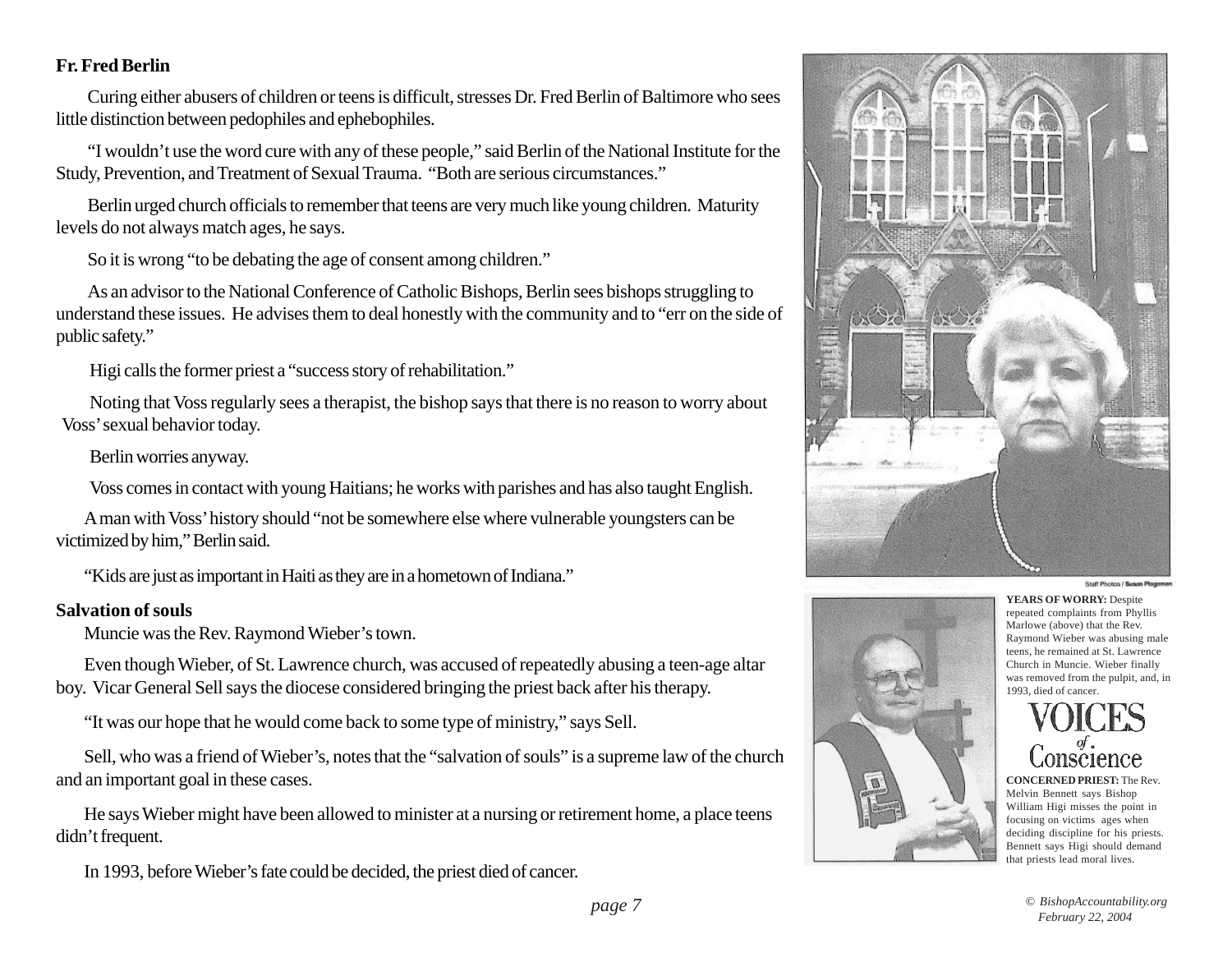#### **Fr. Fred Berlin**

Curing either abusers of children or teens is difficult, stresses Dr. Fred Berlin of Baltimore who sees little distinction between pedophiles and ephebophiles.

"I wouldn't use the word cure with any of these people," said Berlin of the National Institute for the Study, Prevention, and Treatment of Sexual Trauma. "Both are serious circumstances."

Berlin urged church officials to remember that teens are very much like young children. Maturity levels do not always match ages, he says.

So it is wrong "to be debating the age of consent among children."

As an advisor to the National Conference of Catholic Bishops, Berlin sees bishops struggling to understand these issues. He advises them to deal honestly with the community and to "err on the side of public safety."

Higi calls the former priest a "success story of rehabilitation."

Noting that Voss regularly sees a therapist, the bishop says that there is no reason to worry about Voss' sexual behavior today.

Berlin worries anyway.

Voss comes in contact with young Haitians; he works with parishes and has also taught English.

A man with Voss' history should "not be somewhere else where vulnerable youngsters can be victimized by him," Berlin said.

"Kids are just as important in Haiti as they are in a hometown of Indiana."

#### **Salvation of souls**

Muncie was the Rev. Raymond Wieber's town.

Even though Wieber, of St. Lawrence church, was accused of repeatedly abusing a teen-age altar boy. Vicar General Sell says the diocese considered bringing the priest back after his therapy.

"It was our hope that he would come back to some type of ministry," says Sell.

Sell, who was a friend of Wieber's, notes that the "salvation of souls" is a supreme law of the church and an important goal in these cases.

He says Wieber might have been allowed to minister at a nursing or retirement home, a place teens didn't frequent.

In 1993, before Wieber's fate could be decided, the priest died of cancer.





Staff Photos / Susan Plog

**YEARS OF WORRY:** Despite repeated complaints from Phyllis Marlowe (above) that the Rev. Raymond Wieber was abusing male teens, he remained at St. Lawrence Church in Muncie. Wieber finally was removed from the pulpit, and, in 1993, died of cancer.

**CONCERNED PRIEST:** The Rev. Melvin Bennett says Bishop William Higi misses the point in focusing on victims ages when deciding discipline for his priests. Bennett says Higi should demand that priests lead moral lives.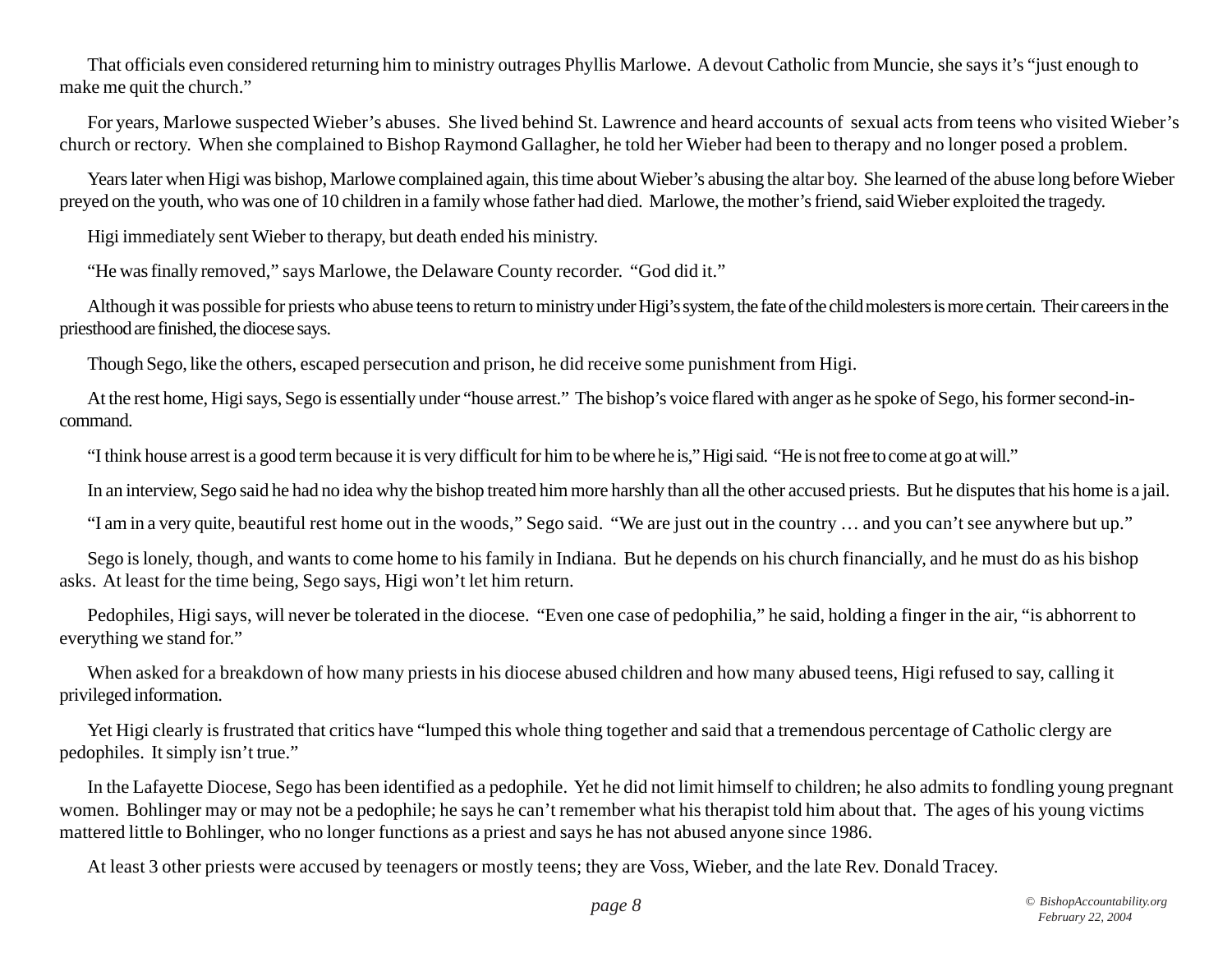That officials even considered returning him to ministry outrages Phyllis Marlowe. A devout Catholic from Muncie, she says it's "just enough to make me quit the church."

For years, Marlowe suspected Wieber's abuses. She lived behind St. Lawrence and heard accounts of sexual acts from teens who visited Wieber's church or rectory. When she complained to Bishop Raymond Gallagher, he told her Wieber had been to therapy and no longer posed a problem.

Years later when Higi was bishop, Marlowe complained again, this time about Wieber's abusing the altar boy. She learned of the abuse long before Wieber preyed on the youth, who was one of 10 children in a family whose father had died. Marlowe, the mother's friend, said Wieber exploited the tragedy.

Higi immediately sent Wieber to therapy, but death ended his ministry.

"He was finally removed," says Marlowe, the Delaware County recorder. "God did it."

Although it was possible for priests who abuse teens to return to ministry under Higi's system, the fate of the child molesters is more certain. Their careers in the priesthood are finished, the diocese says.

Though Sego, like the others, escaped persecution and prison, he did receive some punishment from Higi.

At the rest home, Higi says, Sego is essentially under "house arrest." The bishop's voice flared with anger as he spoke of Sego, his former second-incommand.

"I think house arrest is a good term because it is very difficult for him to be where he is," Higi said. "He is not free to come at go at will."

In an interview, Sego said he had no idea why the bishop treated him more harshly than all the other accused priests. But he disputes that his home is a jail.

"I am in a very quite, beautiful rest home out in the woods," Sego said. "We are just out in the country … and you can't see anywhere but up."

Sego is lonely, though, and wants to come home to his family in Indiana. But he depends on his church financially, and he must do as his bishop asks. At least for the time being, Sego says, Higi won't let him return.

Pedophiles, Higi says, will never be tolerated in the diocese. "Even one case of pedophilia," he said, holding a finger in the air, "is abhorrent to everything we stand for."

When asked for a breakdown of how many priests in his diocese abused children and how many abused teens, Higi refused to say, calling it privileged information.

Yet Higi clearly is frustrated that critics have "lumped this whole thing together and said that a tremendous percentage of Catholic clergy are pedophiles. It simply isn't true."

In the Lafayette Diocese, Sego has been identified as a pedophile. Yet he did not limit himself to children; he also admits to fondling young pregnant women. Bohlinger may or may not be a pedophile; he says he can't remember what his therapist told him about that. The ages of his young victims mattered little to Bohlinger, who no longer functions as a priest and says he has not abused anyone since 1986.

At least 3 other priests were accused by teenagers or mostly teens; they are Voss, Wieber, and the late Rev. Donald Tracey.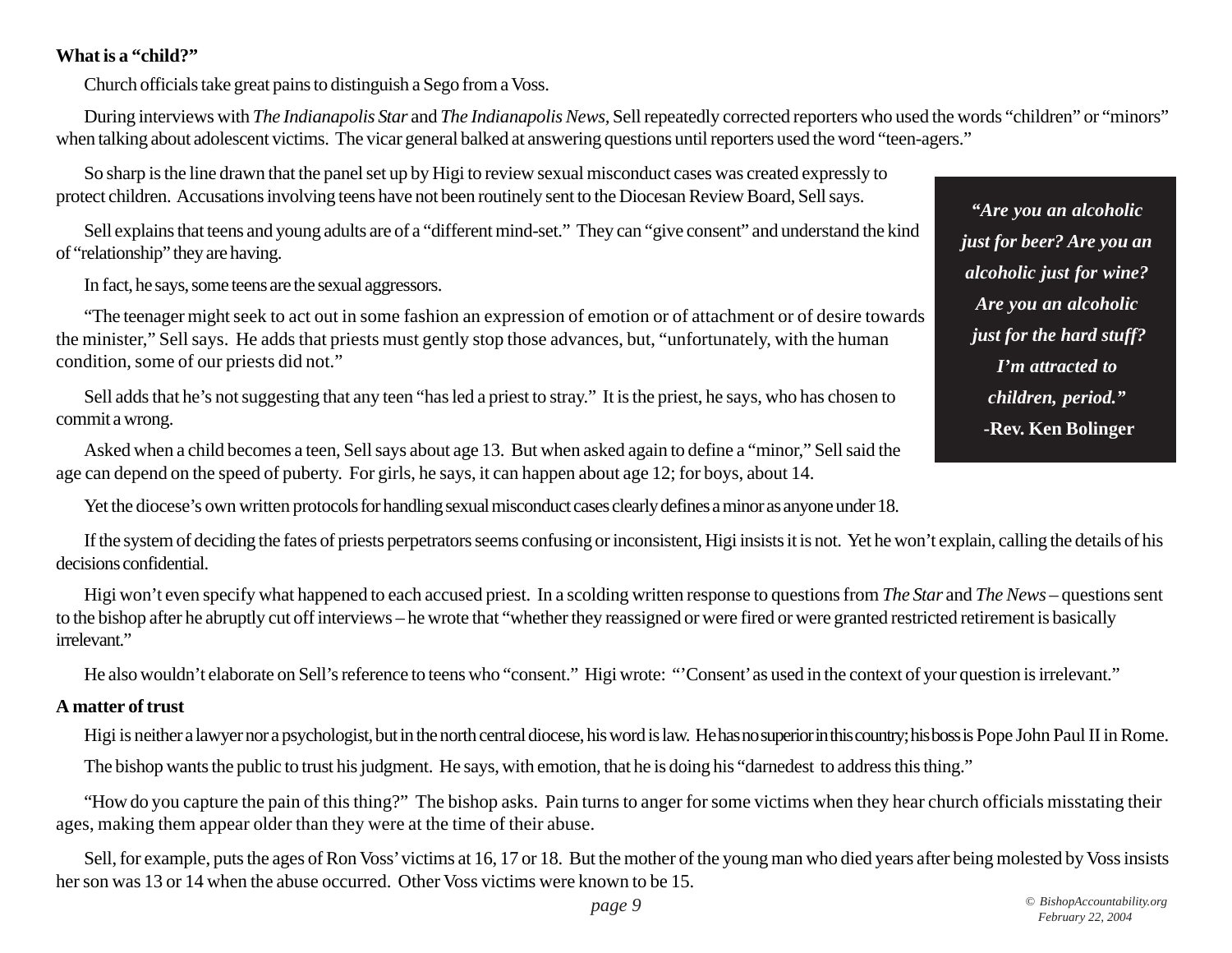#### **What is a "child?"**

Church officials take great pains to distinguish a Sego from a Voss.

During interviews with *The Indianapolis Star* and *The Indianapolis News,* Sell repeatedly corrected reporters who used the words "children" or "minors" when talking about adolescent victims. The vicar general balked at answering questions until reporters used the word "teen-agers."

So sharp is the line drawn that the panel set up by Higi to review sexual misconduct cases was created expressly to protect children. Accusations involving teens have not been routinely sent to the Diocesan Review Board, Sell says.

Sell explains that teens and young adults are of a "different mind-set." They can "give consent" and understand the kind of "relationship" they are having.

In fact, he says, some teens are the sexual aggressors.

"The teenager might seek to act out in some fashion an expression of emotion or of attachment or of desire towards the minister," Sell says. He adds that priests must gently stop those advances, but, "unfortunately, with the human condition, some of our priests did not."

Sell adds that he's not suggesting that any teen "has led a priest to stray." It is the priest, he says, who has chosen to commit a wrong.

Asked when a child becomes a teen, Sell says about age 13. But when asked again to define a "minor," Sell said the age can depend on the speed of puberty. For girls, he says, it can happen about age 12; for boys, about 14.

Yet the diocese's own written protocols for handling sexual misconduct cases clearly defines a minor as anyone under 18.

If the system of deciding the fates of priests perpetrators seems confusing or inconsistent, Higi insists it is not. Yet he won't explain, calling the details of his decisions confidential.

Higi won't even specify what happened to each accused priest. In a scolding written response to questions from *The Star* and *The News* – questions sent to the bishop after he abruptly cut off interviews – he wrote that "whether they reassigned or were fired or were granted restricted retirement is basically irrelevant."

He also wouldn't elaborate on Sell's reference to teens who "consent." Higi wrote: "'Consent' as used in the context of your question is irrelevant."

#### **A matter of trust**

Higi is neither a lawyer nor a psychologist, but in the north central diocese, his word is law. He has no superior in this country; his boss is Pope John Paul II in Rome.

The bishop wants the public to trust his judgment. He says, with emotion, that he is doing his "darnedest to address this thing."

"How do you capture the pain of this thing?" The bishop asks. Pain turns to anger for some victims when they hear church officials misstating their ages, making them appear older than they were at the time of their abuse.

Sell, for example, puts the ages of Ron Voss' victims at 16, 17 or 18. But the mother of the young man who died years after being molested by Voss insists her son was 13 or 14 when the abuse occurred. Other Voss victims were known to be 15.

*"Are you an alcoholic just for beer? Are you an alcoholic just for wine? Are you an alcoholic just for the hard stuff? I'm attracted to children, period."* **-Rev. Ken Bolinger**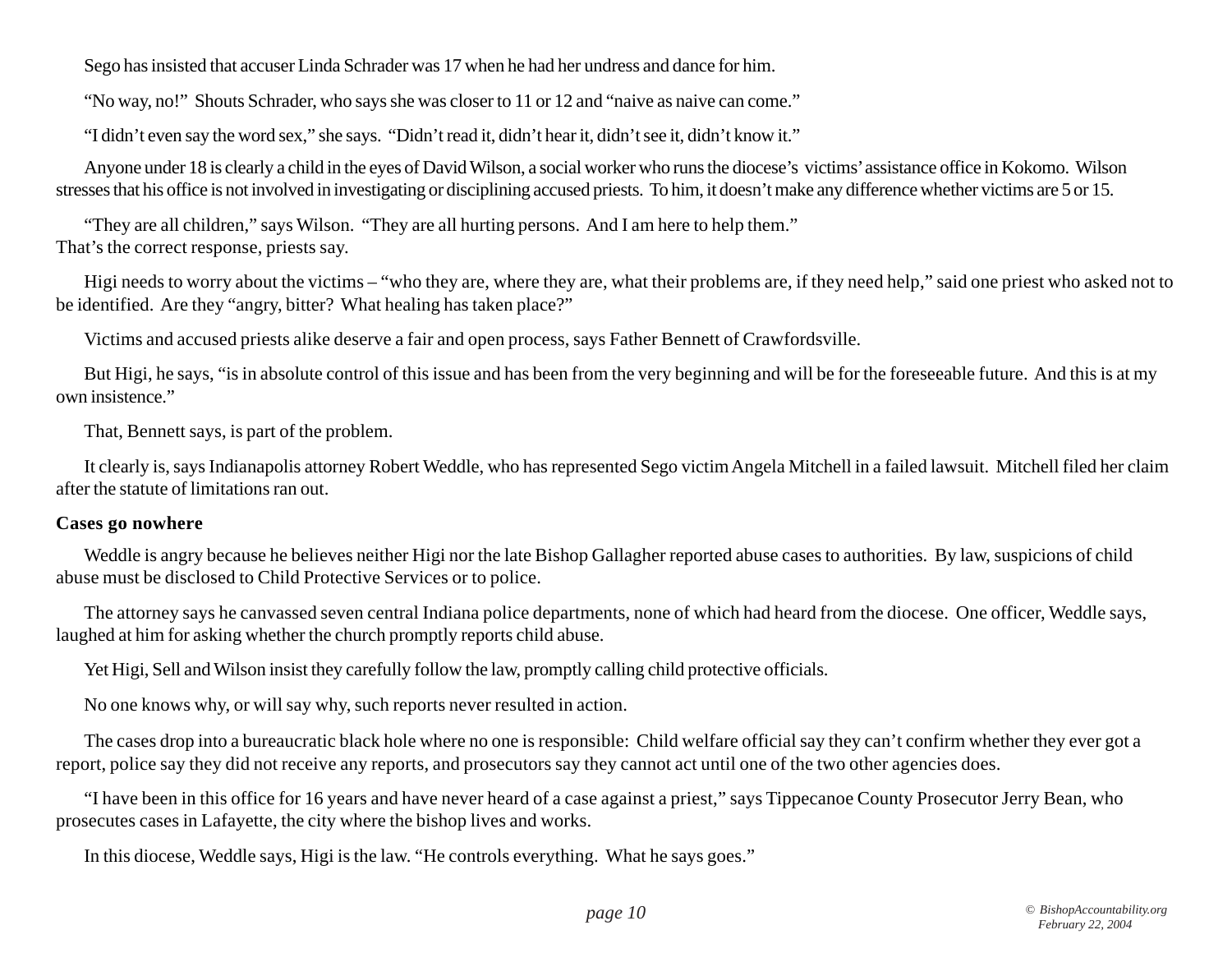Sego has insisted that accuser Linda Schrader was 17 when he had her undress and dance for him.

"No way, no!" Shouts Schrader, who says she was closer to 11 or 12 and "naive as naive can come."

"I didn't even say the word sex," she says. "Didn't read it, didn't hear it, didn't see it, didn't know it."

Anyone under 18 is clearly a child in the eyes of David Wilson, a social worker who runs the diocese's victims' assistance office in Kokomo. Wilson stresses that his office is not involved in investigating or disciplining accused priests. To him, it doesn't make any difference whether victims are 5 or 15.

"They are all children," says Wilson. "They are all hurting persons. And I am here to help them." That's the correct response, priests say.

Higi needs to worry about the victims – "who they are, where they are, what their problems are, if they need help," said one priest who asked not to be identified. Are they "angry, bitter? What healing has taken place?"

Victims and accused priests alike deserve a fair and open process, says Father Bennett of Crawfordsville.

But Higi, he says, "is in absolute control of this issue and has been from the very beginning and will be for the foreseeable future. And this is at my own insistence."

That, Bennett says, is part of the problem.

It clearly is, says Indianapolis attorney Robert Weddle, who has represented Sego victim Angela Mitchell in a failed lawsuit. Mitchell filed her claim after the statute of limitations ran out.

#### **Cases go nowhere**

Weddle is angry because he believes neither Higi nor the late Bishop Gallagher reported abuse cases to authorities. By law, suspicions of child abuse must be disclosed to Child Protective Services or to police.

The attorney says he canvassed seven central Indiana police departments, none of which had heard from the diocese. One officer, Weddle says, laughed at him for asking whether the church promptly reports child abuse.

Yet Higi, Sell and Wilson insist they carefully follow the law, promptly calling child protective officials.

No one knows why, or will say why, such reports never resulted in action.

The cases drop into a bureaucratic black hole where no one is responsible: Child welfare official say they can't confirm whether they ever got a report, police say they did not receive any reports, and prosecutors say they cannot act until one of the two other agencies does.

"I have been in this office for 16 years and have never heard of a case against a priest," says Tippecanoe County Prosecutor Jerry Bean, who prosecutes cases in Lafayette, the city where the bishop lives and works.

In this diocese, Weddle says, Higi is the law. "He controls everything. What he says goes."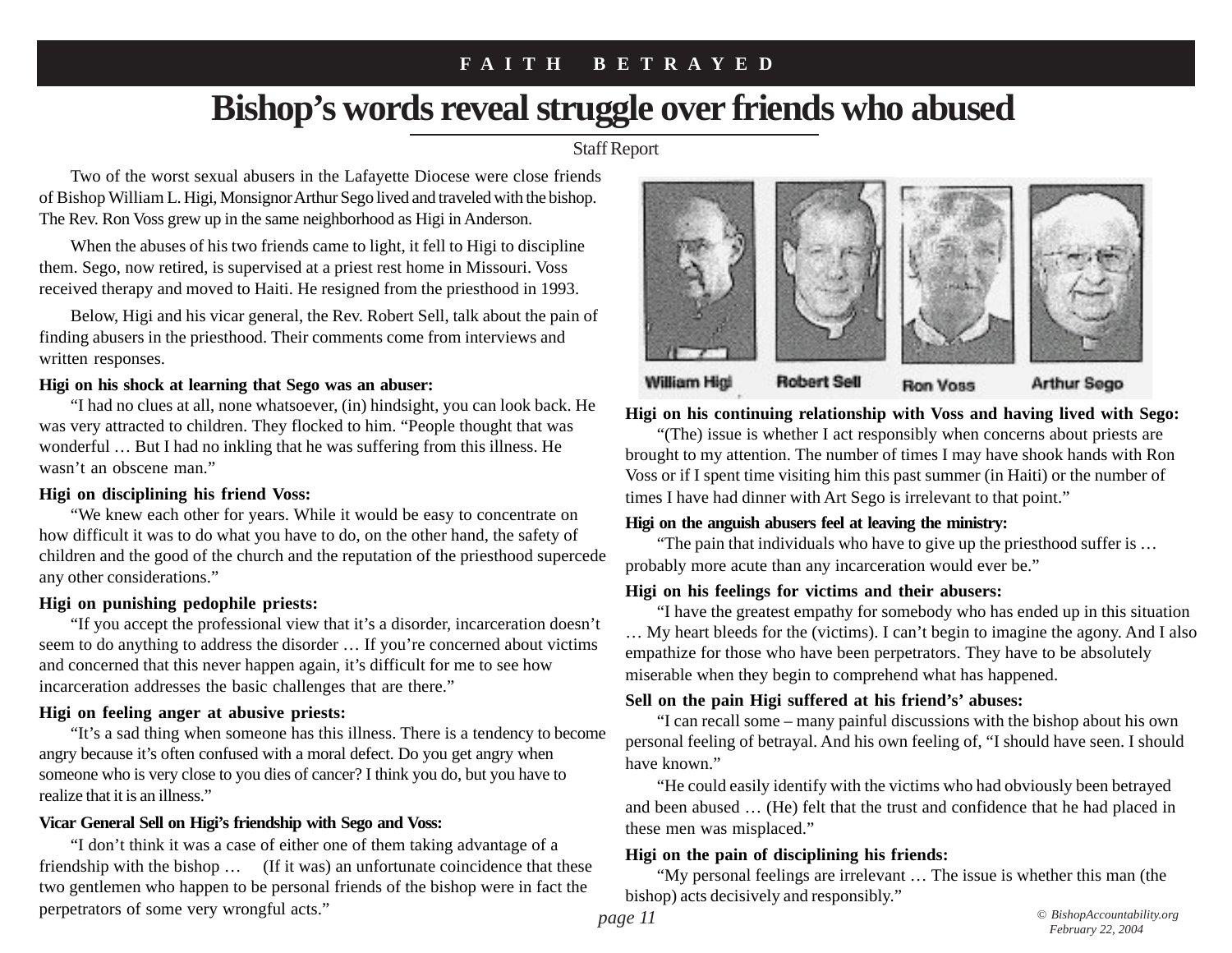### **F A I T H B E T R A Y E D**

# **Bishop's words reveal struggle over friends who abused**

Staff Report

Two of the worst sexual abusers in the Lafayette Diocese were close friends of Bishop William L. Higi, Monsignor Arthur Sego lived and traveled with the bishop. The Rev. Ron Voss grew up in the same neighborhood as Higi in Anderson.

When the abuses of his two friends came to light, it fell to Higi to discipline them. Sego, now retired, is supervised at a priest rest home in Missouri. Voss received therapy and moved to Haiti. He resigned from the priesthood in 1993.

Below, Higi and his vicar general, the Rev. Robert Sell, talk about the pain of finding abusers in the priesthood. Their comments come from interviews and written responses.

#### **Higi on his shock at learning that Sego was an abuser:**

"I had no clues at all, none whatsoever, (in) hindsight, you can look back. He was very attracted to children. They flocked to him. "People thought that was wonderful … But I had no inkling that he was suffering from this illness. He wasn't an obscene man."

#### **Higi on disciplining his friend Voss:**

"We knew each other for years. While it would be easy to concentrate on how difficult it was to do what you have to do, on the other hand, the safety of children and the good of the church and the reputation of the priesthood supercede any other considerations."

#### **Higi on punishing pedophile priests:**

"If you accept the professional view that it's a disorder, incarceration doesn't seem to do anything to address the disorder … If you're concerned about victims and concerned that this never happen again, it's difficult for me to see how incarceration addresses the basic challenges that are there."

#### **Higi on feeling anger at abusive priests:**

"It's a sad thing when someone has this illness. There is a tendency to become angry because it's often confused with a moral defect. Do you get angry when someone who is very close to you dies of cancer? I think you do, but you have to realize that it is an illness."

#### **Vicar General Sell on Higi's friendship with Sego and Voss:**

"I don't think it was a case of either one of them taking advantage of a friendship with the bishop … (If it was) an unfortunate coincidence that these two gentlemen who happen to be personal friends of the bishop were in fact the perpetrators of some very wrongful acts."



**Higi on his continuing relationship with Voss and having lived with Sego:**

"(The) issue is whether I act responsibly when concerns about priests are brought to my attention. The number of times I may have shook hands with Ron Voss or if I spent time visiting him this past summer (in Haiti) or the number of times I have had dinner with Art Sego is irrelevant to that point."

#### **Higi on the anguish abusers feel at leaving the ministry:**

"The pain that individuals who have to give up the priesthood suffer is … probably more acute than any incarceration would ever be."

#### **Higi on his feelings for victims and their abusers:**

"I have the greatest empathy for somebody who has ended up in this situation … My heart bleeds for the (victims). I can't begin to imagine the agony. And I also empathize for those who have been perpetrators. They have to be absolutely miserable when they begin to comprehend what has happened.

#### **Sell on the pain Higi suffered at his friend's' abuses:**

"I can recall some – many painful discussions with the bishop about his own personal feeling of betrayal. And his own feeling of, "I should have seen. I should have known."

"He could easily identify with the victims who had obviously been betrayed and been abused … (He) felt that the trust and confidence that he had placed in these men was misplaced."

#### **Higi on the pain of disciplining his friends:**

"My personal feelings are irrelevant … The issue is whether this man (the bishop) acts decisively and responsibly."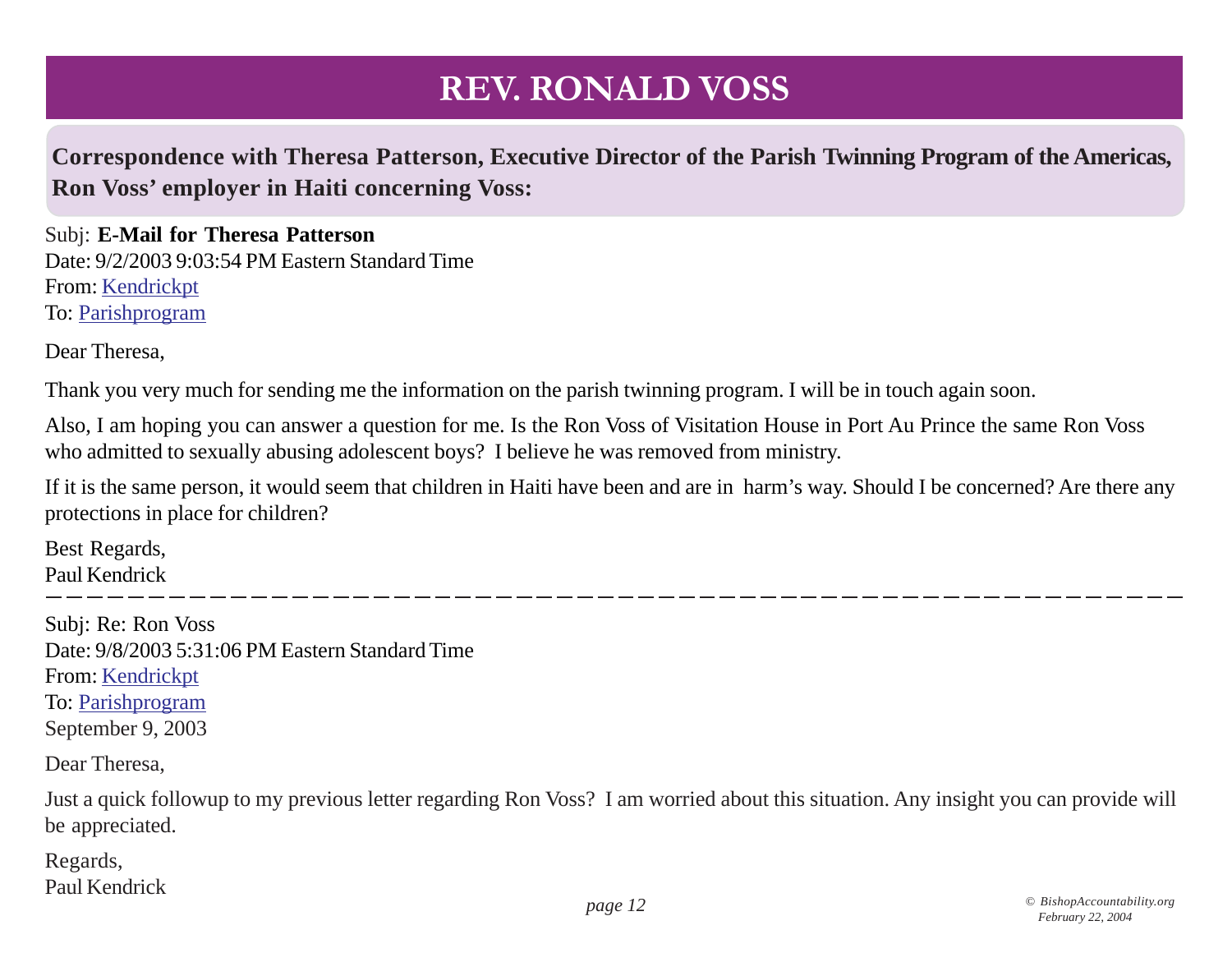### **Correspondence with Theresa Patterson, Executive Director of the Parish Twinning Program of the Americas, Ron Voss' employer in Haiti concerning Voss:**

Subj: **E-Mail for Theresa Patterson** Date: 9/2/2003 9:03:54 PM Eastern Standard Time From: Kendrickpt To: Parishprogram

Dear Theresa,

Thank you very much for sending me the information on the parish twinning program. I will be in touch again soon.

Also, I am hoping you can answer a question for me. Is the Ron Voss of Visitation House in Port Au Prince the same Ron Voss who admitted to sexually abusing adolescent boys? I believe he was removed from ministry.

If it is the same person, it would seem that children in Haiti have been and are in harm's way. Should I be concerned? Are there any protections in place for children?

Best Regards, Paul Kendrick

Subj: Re: Ron Voss Date: 9/8/2003 5:31:06 PM Eastern Standard Time From: Kendrickpt To: Parishprogram September 9, 2003

Dear Theresa,

Just a quick followup to my previous letter regarding Ron Voss? I am worried about this situation. Any insight you can provide will be appreciated.

Regards, Paul Kendrick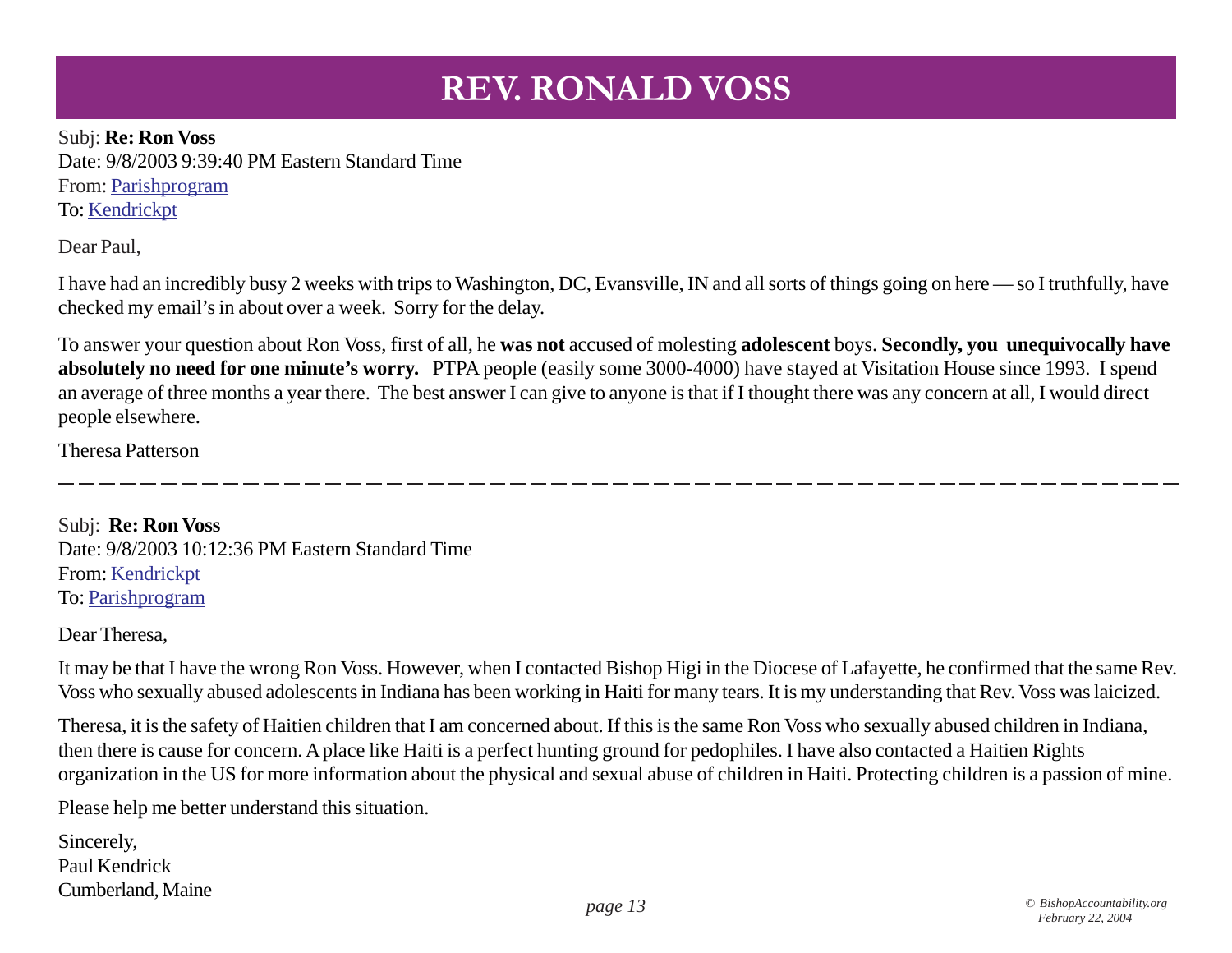Subj: **Re: Ron Voss** Date: 9/8/2003 9:39:40 PM Eastern Standard Time From: Parishprogram To: Kendrickpt

Dear Paul,

I have had an incredibly busy 2 weeks with trips to Washington, DC, Evansville, IN and all sorts of things going on here — so I truthfully, have checked my email's in about over a week. Sorry for the delay.

To answer your question about Ron Voss, first of all, he **was not** accused of molesting **adolescent** boys. **Secondly, you unequivocally have absolutely no need for one minute's worry.** PTPA people (easily some 3000-4000) have stayed at Visitation House since 1993. I spend an average of three months a year there. The best answer I can give to anyone is that if I thought there was any concern at all, I would direct people elsewhere.

Theresa Patterson

Subj: **Re: Ron Voss** Date: 9/8/2003 10:12:36 PM Eastern Standard Time From: Kendrickpt To: Parishprogram

Dear Theresa,

It may be that I have the wrong Ron Voss. However, when I contacted Bishop Higi in the Diocese of Lafayette, he confirmed that the same Rev. Voss who sexually abused adolescents in Indiana has been working in Haiti for many tears. It is my understanding that Rev. Voss was laicized.

Theresa, it is the safety of Haitien children that I am concerned about. If this is the same Ron Voss who sexually abused children in Indiana, then there is cause for concern. A place like Haiti is a perfect hunting ground for pedophiles. I have also contacted a Haitien Rights organization in the US for more information about the physical and sexual abuse of children in Haiti. Protecting children is a passion of mine.

Please help me better understand this situation.

Sincerely, Paul Kendrick Cumberland, Maine *page 13 © BishopAccountability.org*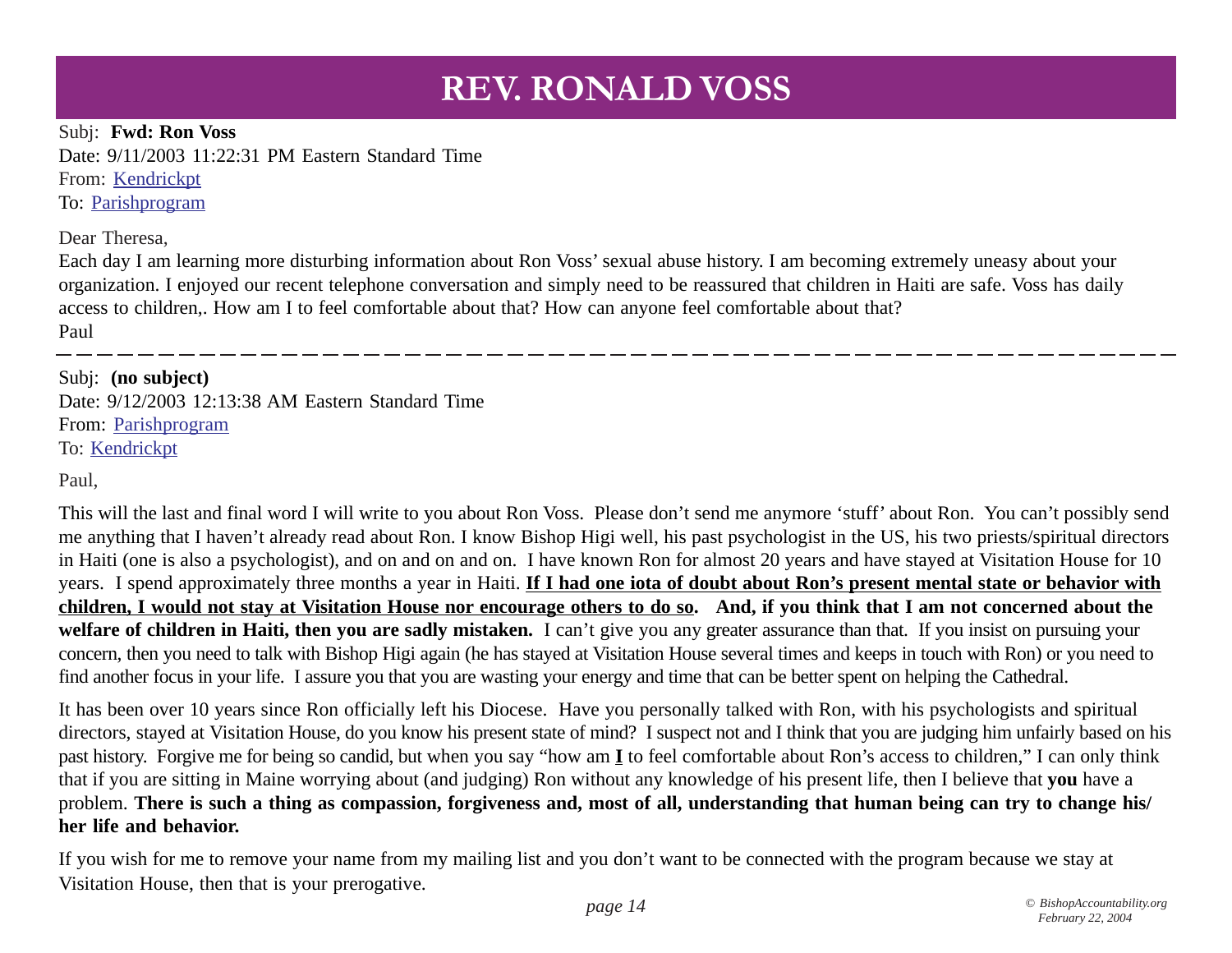Subj: **Fwd: Ron Voss** Date: 9/11/2003 11:22:31 PM Eastern Standard Time From: Kendrickpt To: Parishprogram

Dear Theresa,

Each day I am learning more disturbing information about Ron Voss' sexual abuse history. I am becoming extremely uneasy about your organization. I enjoyed our recent telephone conversation and simply need to be reassured that children in Haiti are safe. Voss has daily access to children,. How am I to feel comfortable about that? How can anyone feel comfortable about that? Paul

Subj: **(no subject)** Date: 9/12/2003 12:13:38 AM Eastern Standard Time From: Parishprogram To: Kendrickpt

Paul,

This will the last and final word I will write to you about Ron Voss. Please don't send me anymore 'stuff' about Ron. You can't possibly send me anything that I haven't already read about Ron. I know Bishop Higi well, his past psychologist in the US, his two priests/spiritual directors in Haiti (one is also a psychologist), and on and on and on. I have known Ron for almost 20 years and have stayed at Visitation House for 10 years. I spend approximately three months a year in Haiti. **If I had one iota of doubt about Ron's present mental state or behavior with children, I would not stay at Visitation House nor encourage others to do so. And, if you think that I am not concerned about the** welfare of children in Haiti, then you are sadly mistaken. I can't give you any greater assurance than that. If you insist on pursuing your concern, then you need to talk with Bishop Higi again (he has stayed at Visitation House several times and keeps in touch with Ron) or you need to find another focus in your life. I assure you that you are wasting your energy and time that can be better spent on helping the Cathedral.

It has been over 10 years since Ron officially left his Diocese. Have you personally talked with Ron, with his psychologists and spiritual directors, stayed at Visitation House, do you know his present state of mind? I suspect not and I think that you are judging him unfairly based on his past history. Forgive me for being so candid, but when you say "how am **I** to feel comfortable about Ron's access to children," I can only think that if you are sitting in Maine worrying about (and judging) Ron without any knowledge of his present life, then I believe that **you** have a problem. **There is such a thing as compassion, forgiveness and, most of all, understanding that human being can try to change his/ her life and behavior.**

If you wish for me to remove your name from my mailing list and you don't want to be connected with the program because we stay at Visitation House, then that is your prerogative.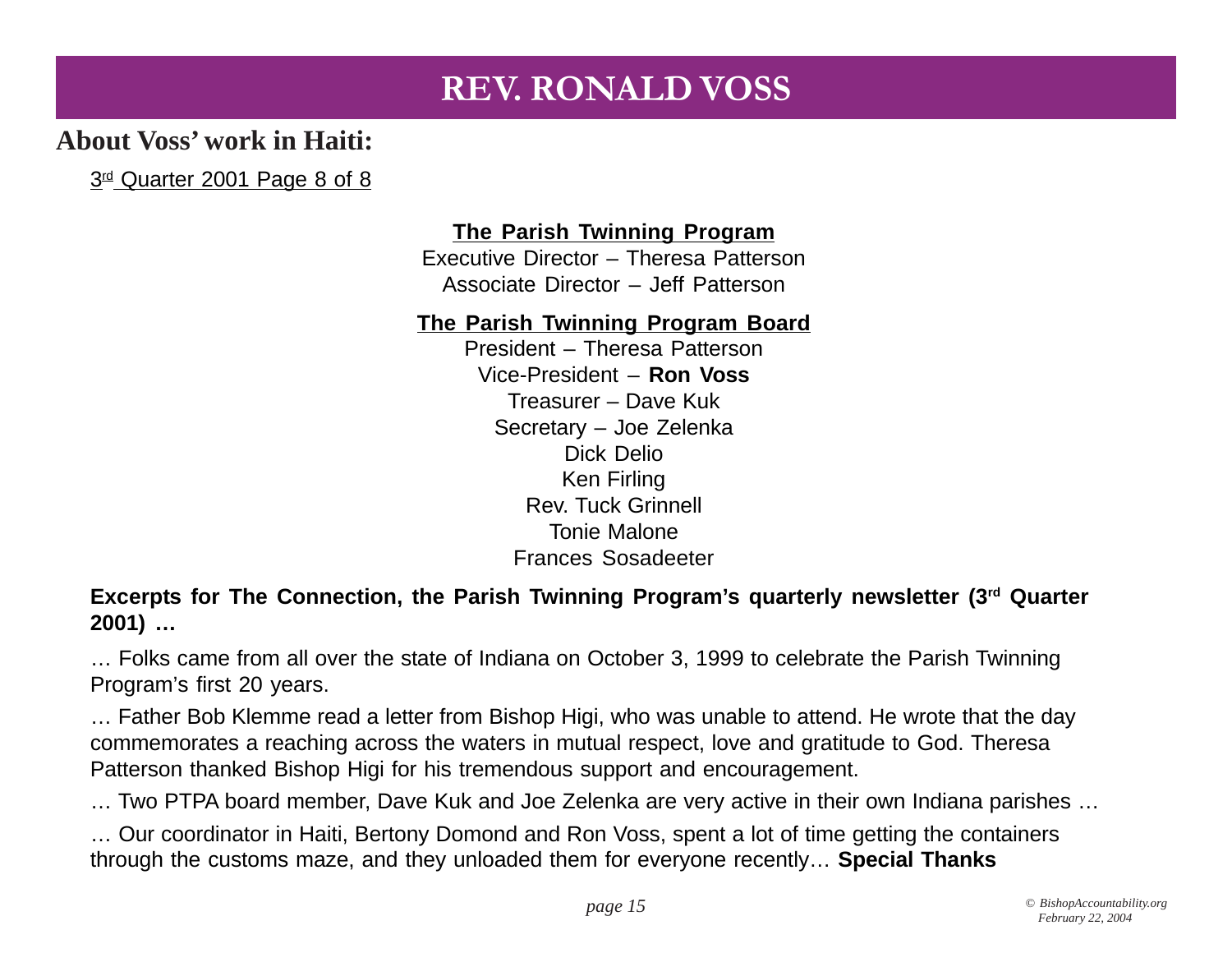### **About Voss' work in Haiti:**

3<sup>rd</sup> Quarter 2001 Page 8 of 8

### **The Parish Twinning Program**

Executive Director – Theresa Patterson Associate Director – Jeff Patterson

### **The Parish Twinning Program Board**

President – Theresa Patterson Vice-President – **Ron Voss** Treasurer – Dave Kuk Secretary – Joe Zelenka Dick Delio Ken Firling Rev. Tuck Grinnell Tonie Malone Frances Sosadeeter

**Excerpts for The Connection, the Parish Twinning Program's quarterly newsletter (3rd Quarter 2001) …**

… Folks came from all over the state of Indiana on October 3, 1999 to celebrate the Parish Twinning Program's first 20 years.

… Father Bob Klemme read a letter from Bishop Higi, who was unable to attend. He wrote that the day commemorates a reaching across the waters in mutual respect, love and gratitude to God. Theresa Patterson thanked Bishop Higi for his tremendous support and encouragement.

… Two PTPA board member, Dave Kuk and Joe Zelenka are very active in their own Indiana parishes …

… Our coordinator in Haiti, Bertony Domond and Ron Voss, spent a lot of time getting the containers through the customs maze, and they unloaded them for everyone recently… **Special Thanks**